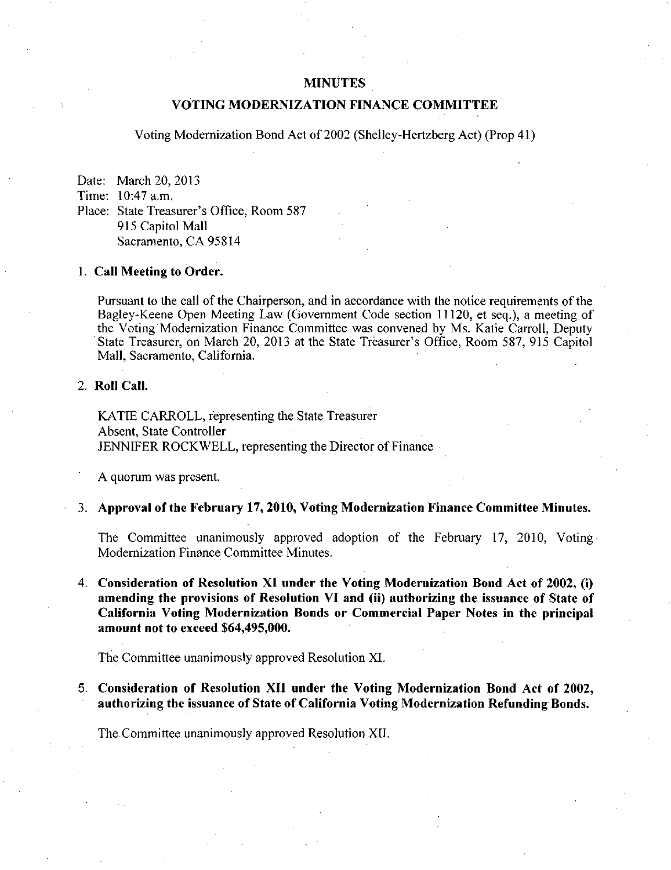### MINUTES

## VOTING MODERNIZATION FINANCE COMMITTEE

Voting Modemization Bond Act of 2002 (Shelley-Hertzberg Act) (Prop 41)

Date: March 20, 2013 Time: 10:47 a.m.

Place: State Treasurer's Office, Room 587 915 Capitol Mall Sacramento, CA 95814

#### 1. Call Meeting to Order.

Pursuant to the call of the Chairperson, and in accordance with the notice requirements of the Bagley-Keene Open Meeting Law (Govemment Code section 11120, et seq.), a meeting of the Voting Modemization Finance Committee was convened by Ms. Katie Carroll, Deputy State Treasurer, on March 20, 2013 at the State Treasurer's Office, Room 587, 915 Capitol Mall, Sacramento, California.

## 2. Roll Call.

KATIE CARROLL, representing the State Treasurer Absent, State Controller JENNIFER ROCKWELL, representing the Director of Finance

A quorum was present,

#### 3. Approval of the February 17, 2010, Voting Modernization Finance Committee Minutes.

The Committee unanimously approved adoption of the February 17, 2010, Voting Modernization Finance Committee Minutes.

4. Consideration of Resolution XI under the Voting Modernization Bond Act of 2002, (i) amending the provisions of Resolution VI and (ii) authorizing the issuance of State of California Voting Modernization Bonds or Commercial Paper Notes in the principal amount not to exceed \$64,495,000.

The Committee unanimously approved Resolution XI.

5. Consideration of Resolution XII under the Voting Modernization Bond Act of 2002, authorizing the issuance of State of California Voting Modernization Refunding Bonds.

The Committee unanimously approved Resolution XII.